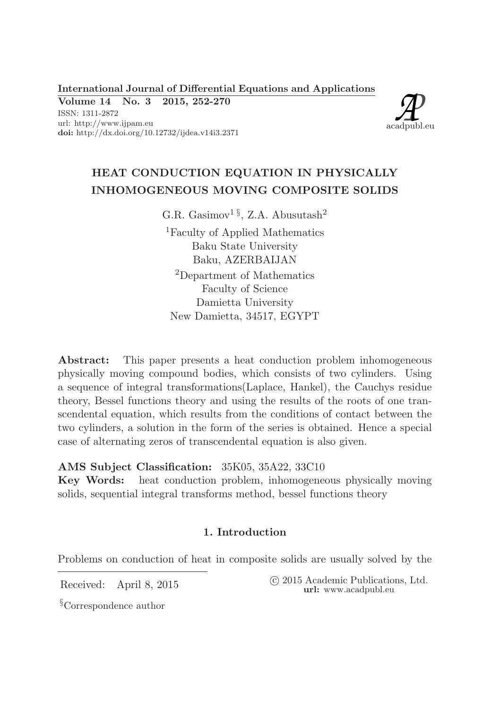International Journal of Differential Equations and Applications

Volume 14 No. 3 2015, 252-270 ISSN: 1311-2872 url: http://www.ijpam.eu doi: http://dx.doi.org/10.12732/ijdea.v14i3.2371



# HEAT CONDUCTION EQUATION IN PHYSICALLY INHOMOGENEOUS MOVING COMPOSITE SOLIDS

G.R. Gasimov<sup>1 §</sup>, Z.A. Abusutash<sup>2</sup>

<sup>1</sup>Faculty of Applied Mathematics Baku State University Baku, AZERBAIJAN <sup>2</sup>Department of Mathematics Faculty of Science Damietta University New Damietta, 34517, EGYPT

Abstract: This paper presents a heat conduction problem inhomogeneous physically moving compound bodies, which consists of two cylinders. Using a sequence of integral transformations(Laplace, Hankel), the Cauchys residue theory, Bessel functions theory and using the results of the roots of one transcendental equation, which results from the conditions of contact between the two cylinders, a solution in the form of the series is obtained. Hence a special case of alternating zeros of transcendental equation is also given.

AMS Subject Classification: 35K05, 35A22, 33C10

Key Words: heat conduction problem, inhomogeneous physically moving solids, sequential integral transforms method, bessel functions theory

## 1. Introduction

Problems on conduction of heat in composite solids are usually solved by the

Received: April 8, 2015 (2015 Academic Publications, Ltd. url: www.acadpubl.eu

§Correspondence author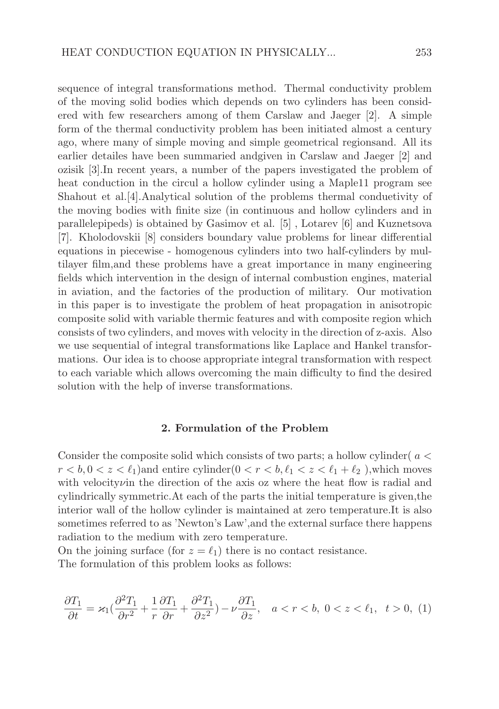sequence of integral transformations method. Thermal conductivity problem of the moving solid bodies which depends on two cylinders has been considered with few researchers among of them Carslaw and Jaeger [2]. A simple form of the thermal conductivity problem has been initiated almost a century ago, where many of simple moving and simple geometrical regionsand. All its earlier detailes have been summaried andgiven in Carslaw and Jaeger [2] and ozisik [3].In recent years, a number of the papers investigated the problem of heat conduction in the circul a hollow cylinder using a Maple11 program see Shahout et al.[4].Analytical solution of the problems thermal conduetivity of the moving bodies with finite size (in continuous and hollow cylinders and in parallelepipeds) is obtained by Gasimov et al. [5] , Lotarev [6] and Kuznetsova [7]. Kholodovskii [8] considers boundary value problems for linear differential equations in piecewise - homogenous cylinders into two half-cylinders by multilayer film,and these problems have a great importance in many engineering fields which intervention in the design of internal combustion engines, material in aviation, and the factories of the production of military. Our motivation in this paper is to investigate the problem of heat propagation in anisotropic composite solid with variable thermic features and with composite region which consists of two cylinders, and moves with velocity in the direction of z-axis. Also we use sequential of integral transformations like Laplace and Hankel transformations. Our idea is to choose appropriate integral transformation with respect to each variable which allows overcoming the main difficulty to find the desired solution with the help of inverse transformations.

#### 2. Formulation of the Problem

Consider the composite solid which consists of two parts; a hollow cylinder(  $a <$  $r < b, 0 < z < \ell_1$ ) and entire cylinder  $(0 < r < b, \ell_1 < z < \ell_1 + \ell_2)$ , which moves with velocity *v* in the direction of the axis oz where the heat flow is radial and cylindrically symmetric.At each of the parts the initial temperature is given,the interior wall of the hollow cylinder is maintained at zero temperature.It is also sometimes referred to as 'Newton's Law',and the external surface there happens radiation to the medium with zero temperature.

On the joining surface (for  $z = \ell_1$ ) there is no contact resistance. The formulation of this problem looks as follows:

$$
\frac{\partial T_1}{\partial t} = \varkappa_1 \left( \frac{\partial^2 T_1}{\partial r^2} + \frac{1}{r} \frac{\partial T_1}{\partial r} + \frac{\partial^2 T_1}{\partial z^2} \right) - \nu \frac{\partial T_1}{\partial z}, \quad a < r < b, \ 0 < z < \ell_1, \ t > 0, \ (1)
$$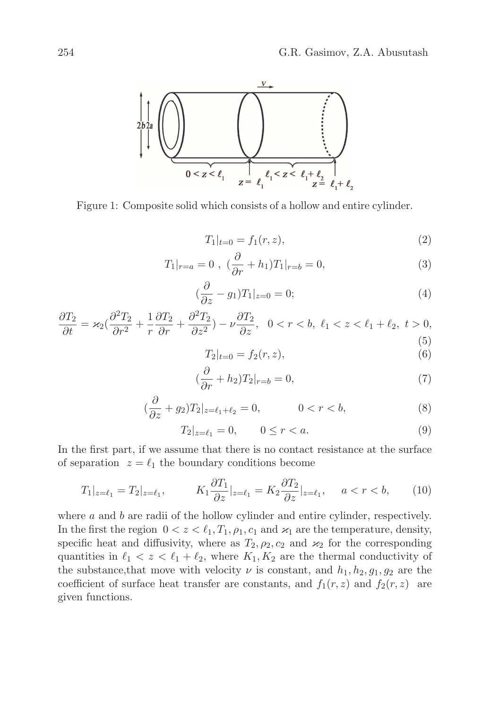

Figure 1: Composite solid which consists of a hollow and entire cylinder.

$$
T_1|_{t=0} = f_1(r, z), \tag{2}
$$

$$
T_1|_{r=a} = 0 , \ (\frac{\partial}{\partial r} + h_1)T_1|_{r=b} = 0,
$$
\n(3)

$$
(\frac{\partial}{\partial z} - g_1)T_1|_{z=0} = 0; \tag{4}
$$

$$
\frac{\partial T_2}{\partial t} = \varkappa_2 \left( \frac{\partial^2 T_2}{\partial r^2} + \frac{1}{r} \frac{\partial T_2}{\partial r} + \frac{\partial^2 T_2}{\partial z^2} \right) - \nu \frac{\partial T_2}{\partial z}, \quad 0 < r < b, \quad \ell_1 < z < \ell_1 + \ell_2, \quad t > 0,\tag{5}
$$

$$
T_2|_{t=0} = f_2(r, z), \tag{6}
$$

$$
(\frac{\partial}{\partial r} + h_2)T_2|_{r=b} = 0,\t\t(7)
$$

$$
(\frac{\partial}{\partial z} + g_2)T_2|_{z = \ell_1 + \ell_2} = 0, \qquad 0 < r < b,\tag{8}
$$

$$
T_2|_{z=\ell_1} = 0, \qquad 0 \le r < a. \tag{9}
$$

In the first part, if we assume that there is no contact resistance at the surface of separation  $z = \ell_1$  the boundary conditions become

$$
T_1|_{z=\ell_1} = T_2|_{z=\ell_1}, \qquad K_1 \frac{\partial T_1}{\partial z}|_{z=\ell_1} = K_2 \frac{\partial T_2}{\partial z}|_{z=\ell_1}, \quad a < r < b,\tag{10}
$$

where  $a$  and  $b$  are radii of the hollow cylinder and entire cylinder, respectively. In the first the region  $0 < z < \ell_1, T_1, \rho_1, c_1$  and  $\varkappa_1$  are the temperature, density, specific heat and diffusivity, where as  $T_2$ ,  $\rho_2$ ,  $c_2$  and  $\varkappa_2$  for the corresponding quantities in  $\ell_1 < z < \ell_1 + \ell_2$ , where  $K_1, K_2$  are the thermal conductivity of the substance, that move with velocity  $\nu$  is constant, and  $h_1, h_2, g_1, g_2$  are the coefficient of surface heat transfer are constants, and  $f_1(r, z)$  and  $f_2(r, z)$  are given functions.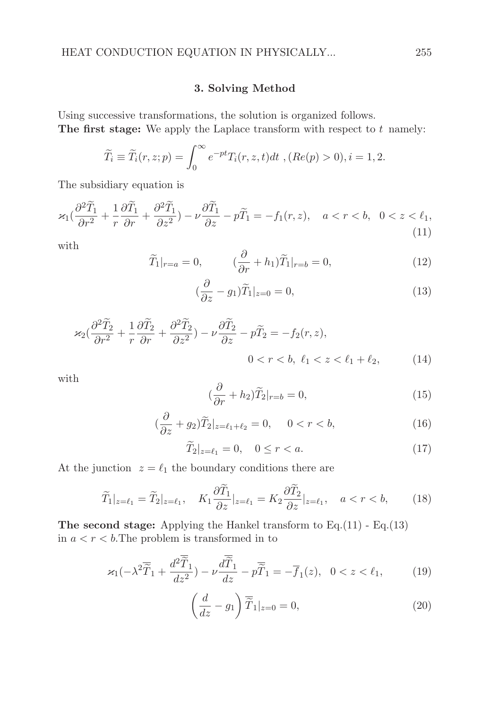### 3. Solving Method

Using successive transformations, the solution is organized follows. The first stage: We apply the Laplace transform with respect to  $t$  namely:

$$
\widetilde{T}_i \equiv \widetilde{T}_i(r, z; p) = \int_0^\infty e^{-pt} T_i(r, z, t) dt , (Re(p) > 0), i = 1, 2.
$$

The subsidiary equation is

$$
\varkappa_1(\frac{\partial^2 \widetilde{T}_1}{\partial r^2} + \frac{1}{r} \frac{\partial \widetilde{T}_1}{\partial r} + \frac{\partial^2 \widetilde{T}_1}{\partial z^2}) - \nu \frac{\partial \widetilde{T}_1}{\partial z} - p\widetilde{T}_1 = -f_1(r, z), \quad a < r < b, \quad 0 < z < \ell_1,
$$
\n(11)

with

$$
\widetilde{T}_1|_{r=a} = 0, \qquad (\frac{\partial}{\partial r} + h_1)\widetilde{T}_1|_{r=b} = 0, \qquad (12)
$$

$$
(\frac{\partial}{\partial z} - g_1)\widetilde{T}_1|_{z=0} = 0,
$$
\n(13)

$$
\varkappa_2(\frac{\partial^2 \widetilde{T}_2}{\partial r^2} + \frac{1}{r} \frac{\partial \widetilde{T}_2}{\partial r} + \frac{\partial^2 \widetilde{T}_2}{\partial z^2}) - \nu \frac{\partial \widetilde{T}_2}{\partial z} - p\widetilde{T}_2 = -f_2(r, z),
$$
  
0 < r < b, \ell\_1 < z < \ell\_1 + \ell\_2, (14)

with

$$
(\frac{\partial}{\partial r} + h_2)\widetilde{T}_2|_{r=b} = 0,
$$
\n(15)

$$
(\frac{\partial}{\partial z} + g_2)\widetilde{T}_2|_{z=\ell_1+\ell_2} = 0, \quad 0 < r < b,\tag{16}
$$

$$
\widetilde{T}_2|_{z=\ell_1} = 0, \quad 0 \le r < a. \tag{17}
$$

At the junction  $z = \ell_1$  the boundary conditions there are

$$
\widetilde{T}_1|_{z=\ell_1} = \widetilde{T}_2|_{z=\ell_1}, \quad K_1 \frac{\partial \widetilde{T}_1}{\partial z}|_{z=\ell_1} = K_2 \frac{\partial \widetilde{T}_2}{\partial z}|_{z=\ell_1}, \quad a < r < b,\tag{18}
$$

The second stage: Applying the Hankel transform to Eq.(11) - Eq.(13) in  $a < r < b$ . The problem is transformed in to

$$
\varkappa_1(-\lambda^2 \overline{\widetilde{T}}_1 + \frac{d^2 \overline{\widetilde{T}}_1}{dz^2}) - \nu \frac{d\overline{\widetilde{T}}_1}{dz} - \rho \overline{\widetilde{T}}_1 = -\overline{f}_1(z), \quad 0 < z < \ell_1,\tag{19}
$$

$$
\left(\frac{d}{dz} - g_1\right) \overline{\tilde{T}}_1|_{z=0} = 0,
$$
\n(20)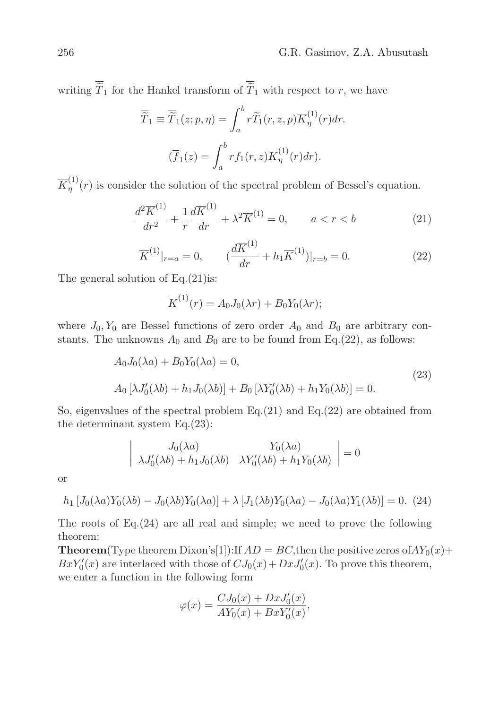writing  $\overline{\widetilde{T}}_1$  for the Hankel transform of  $\overline{\widetilde{T}}_1$  with respect to r, we have

$$
\overline{\widetilde{T}}_1 \equiv \overline{\widetilde{T}}_1(z; p, \eta) = \int_a^b r \widetilde{T}_1(r, z, p) \overline{K}_{\eta}^{(1)}(r) dr.
$$

$$
(\overline{f}_1(z) = \int_a^b r f_1(r, z) \overline{K}_{\eta}^{(1)}(r) dr).
$$

 $\overline{K}_n^{(1)}$  $\eta^{(1)}(r)$  is consider the solution of the spectral problem of Bessel's equation.

$$
\frac{d^2\overline{K}^{(1)}}{dr^2} + \frac{1}{r}\frac{d\overline{K}^{(1)}}{dr} + \lambda^2 \overline{K}^{(1)} = 0, \qquad a < r < b \tag{21}
$$

$$
\overline{K}^{(1)}|_{r=a} = 0, \qquad (\frac{d\overline{K}^{(1)}}{dr} + h_1 \overline{K}^{(1)})|_{r=b} = 0.
$$
 (22)

The general solution of  $Eq.(21)$  is:

$$
\overline{K}^{(1)}(r) = A_0 J_0(\lambda r) + B_0 Y_0(\lambda r);
$$

where  $J_0, Y_0$  are Bessel functions of zero order  $A_0$  and  $B_0$  are arbitrary constants. The unknowns  $A_0$  and  $B_0$  are to be found from Eq.(22), as follows:

$$
A_0 J_0(\lambda a) + B_0 Y_0(\lambda a) = 0,
$$
  
\n
$$
A_0 [\lambda J'_0(\lambda b) + h_1 J_0(\lambda b)] + B_0 [\lambda Y'_0(\lambda b) + h_1 Y_0(\lambda b)] = 0.
$$
\n(23)

So, eigenvalues of the spectral problem Eq.(21) and Eq.(22) are obtained from the determinant system Eq.(23):

$$
\begin{vmatrix} J_0(\lambda a) & Y_0(\lambda a) \\ \lambda J'_0(\lambda b) + h_1 J_0(\lambda b) & \lambda Y'_0(\lambda b) + h_1 Y_0(\lambda b) \end{vmatrix} = 0
$$

or

$$
h_1\left[J_0(\lambda a)Y_0(\lambda b) - J_0(\lambda b)Y_0(\lambda a)\right] + \lambda\left[J_1(\lambda b)Y_0(\lambda a) - J_0(\lambda a)Y_1(\lambda b)\right] = 0. \tag{24}
$$

The roots of Eq.(24) are all real and simple; we need to prove the following theorem:

**Theorem**(Type theorem Dixon's[1]):If  $AD = BC$ , then the positive zeros of  $AY_0(x)$  +  $BxY'_0(x)$  are interlaced with those of  $CJ_0(x) + DxJ'_0(x)$ . To prove this theorem, we enter a function in the following form

$$
\varphi(x) = \frac{C J_0(x) + D x J_0'(x)}{A Y_0(x) + B x Y_0'(x)},
$$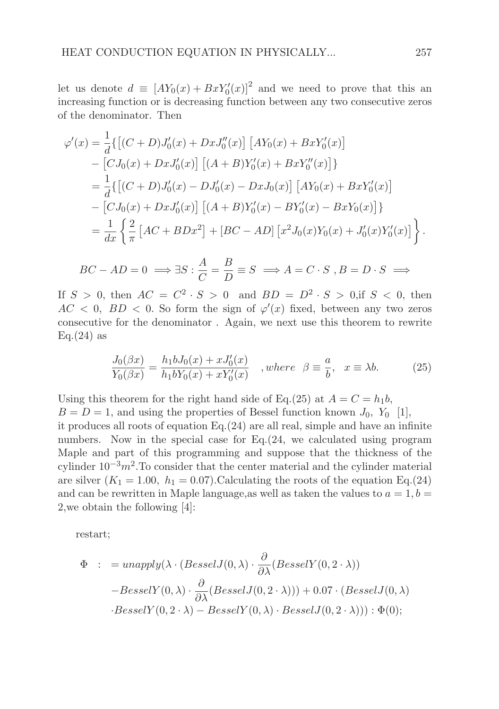let us denote  $d \equiv [AY_0(x) + BxY'_0(x)]^2$  and we need to prove that this an increasing function or is decreasing function between any two consecutive zeros of the denominator. Then

$$
\varphi'(x) = \frac{1}{d} \{ [(C+D)J'_0(x) + DxJ''_0(x)] [AY_0(x) + BxY'_0(x)]
$$
  
\n
$$
- [CJ_0(x) + DxJ'_0(x)] [(A+B)Y'_0(x) + BxY''_0(x)] \}
$$
  
\n
$$
= \frac{1}{d} \{ [(C+D)J'_0(x) - DJ'_0(x) - DxJ_0(x)] [AY_0(x) + BxY'_0(x)]
$$
  
\n
$$
- [CJ_0(x) + DxJ'_0(x)] [(A+B)Y'_0(x) - BY'_0(x) - BxY_0(x)] \}
$$
  
\n
$$
= \frac{1}{dx} \left\{ \frac{2}{\pi} [AC + BDx^2] + [BC - AD] [x^2J_0(x)Y_0(x) + J'_0(x)Y'_0(x)] \right\}.
$$

$$
BC - AD = 0 \implies \exists S : \frac{A}{C} = \frac{B}{D} \equiv S \implies A = C \cdot S, B = D \cdot S \implies
$$

If  $S > 0$ , then  $AC = C^2 \cdot S > 0$  and  $BD = D^2 \cdot S > 0$ , if  $S < 0$ , then  $AC < 0$ ,  $BD < 0$ . So form the sign of  $\varphi'(x)$  fixed, between any two zeros consecutive for the denominator . Again, we next use this theorem to rewrite  $Eq.(24)$  as

$$
\frac{J_0(\beta x)}{Y_0(\beta x)} = \frac{h_1 b J_0(x) + x J_0'(x)}{h_1 b Y_0(x) + x Y_0'(x)} \quad , where \quad \beta \equiv \frac{a}{b}, \quad x \equiv \lambda b. \tag{25}
$$

Using this theorem for the right hand side of Eq.(25) at  $A = C = h_1b$ ,  $B = D = 1$ , and using the properties of Bessel function known  $J_0$ ,  $Y_0$  [1], it produces all roots of equation Eq.(24) are all real, simple and have an infinite numbers. Now in the special case for Eq.(24, we calculated using program Maple and part of this programming and suppose that the thickness of the cylinder  $10^{-3}m^2$ . To consider that the center material and the cylinder material are silver  $(K_1 = 1.00, h_1 = 0.07)$ . Calculating the roots of the equation Eq.(24) and can be rewritten in Maple language, as well as taken the values to  $a = 1, b =$ 2,we obtain the following [4]:

restart;

$$
\Phi : = unapply(\lambda \cdot (BesselJ(0, \lambda) \cdot \frac{\partial}{\partial \lambda}(BesselY(0, 2 \cdot \lambda)))
$$
  
\n- BesselY(0, \lambda) \cdot \frac{\partial}{\partial \lambda}(BesselJ(0, 2 \cdot \lambda))) + 0.07 \cdot (BesselJ(0, \lambda))  
\n\cdot BesselY(0, 2 \cdot \lambda) - BesselY(0, \lambda) \cdot BesselJ(0, 2 \cdot \lambda))) : \Phi(0);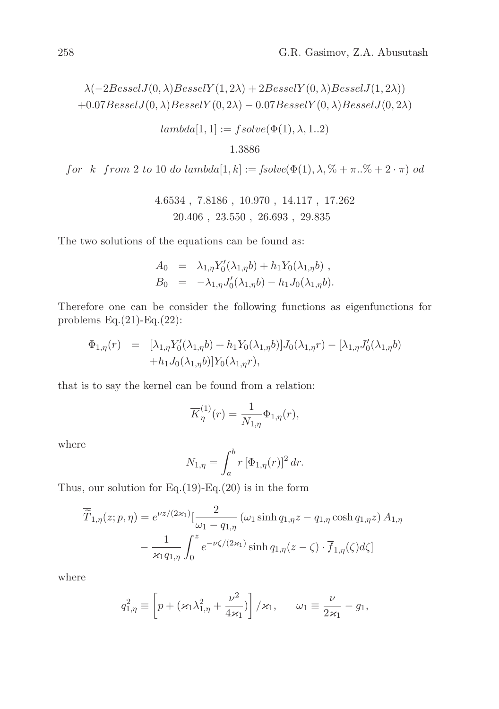$$
\lambda(-2BesselJ(0,\lambda)BesselY(1,2\lambda) + 2BesselY(0,\lambda)BesselJ(1,2\lambda))
$$
  
+0.07BesselJ(0,\lambda)BesselY(0,2\lambda) - 0.07BesselY(0,\lambda)BesselJ(0,2\lambda)

$$
lambda[1,1] := fsolve(\Phi(1), \lambda, 1..2)
$$

$$
1.3886\\
$$

for k from 2 to 10 do lambda $[1, k] := \text{fsolve}(\Phi(1), \lambda, \% + \pi, \% + 2 \cdot \pi)$  od

$$
4.6534\; , \; 7.8186\; , \; 10.970\; , \; 14.117\; , \; 17.262 \\ 20.406\; , \; 23.550\; , \; 26.693\; , \; 29.835
$$

The two solutions of the equations can be found as:

$$
A_0 = \lambda_{1,\eta} Y'_0(\lambda_{1,\eta} b) + h_1 Y_0(\lambda_{1,\eta} b) ,
$$
  
\n
$$
B_0 = -\lambda_{1,\eta} J'_0(\lambda_{1,\eta} b) - h_1 J_0(\lambda_{1,\eta} b) .
$$

Therefore one can be consider the following functions as eigenfunctions for problems Eq.(21)-Eq.(22):

$$
\Phi_{1,\eta}(r) = [\lambda_{1,\eta} Y_0'(\lambda_{1,\eta} b) + h_1 Y_0(\lambda_{1,\eta} b)] J_0(\lambda_{1,\eta} r) - [\lambda_{1,\eta} J_0'(\lambda_{1,\eta} b) + h_1 J_0(\lambda_{1,\eta} b)] Y_0(\lambda_{1,\eta} r),
$$

that is to say the kernel can be found from a relation:

$$
\overline{K}_{\eta}^{(1)}(r) = \frac{1}{N_{1,\eta}} \Phi_{1,\eta}(r),
$$

where

$$
N_{1,\eta} = \int_{a}^{b} r \left[\Phi_{1,\eta}(r)\right]^2 dr.
$$

Thus, our solution for Eq.(19)-Eq.(20) is in the form

$$
\overline{\widetilde{T}}_{1,\eta}(z;p,\eta) = e^{\nu z/(2\varkappa_1)} \left[\frac{2}{\omega_1 - q_{1,\eta}} \left(\omega_1 \sinh q_{1,\eta} z - q_{1,\eta} \cosh q_{1,\eta} z\right) A_{1,\eta}\right]
$$

$$
-\frac{1}{\varkappa_1 q_{1,\eta}} \int_0^z e^{-\nu \zeta/(2\varkappa_1)} \sinh q_{1,\eta}(z-\zeta) \cdot \overline{f}_{1,\eta}(\zeta) d\zeta
$$

where

$$
q_{1,\eta}^2 \equiv \left[ p + (\varkappa_1 \lambda_{1,\eta}^2 + \frac{\nu^2}{4\varkappa_1}) \right] / \varkappa_1, \qquad \omega_1 \equiv \frac{\nu}{2\varkappa_1} - g_1,
$$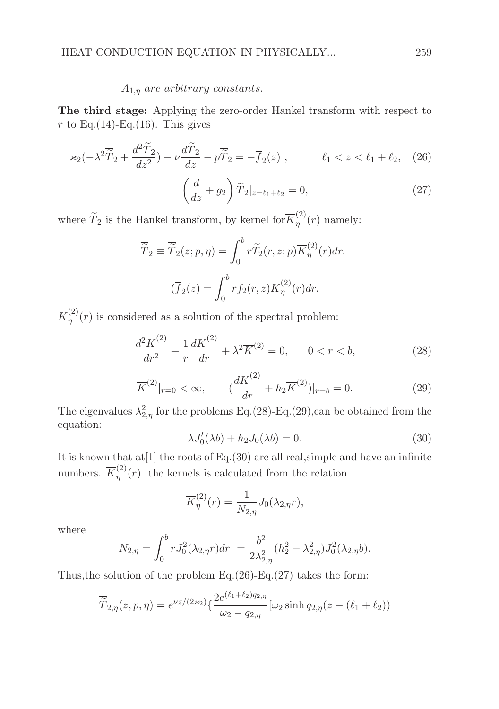### $A_{1,\eta}$  are arbitrary constants.

The third stage: Applying the zero-order Hankel transform with respect to r to Eq.(14)-Eq.(16). This gives

$$
\varkappa_2(-\lambda^2 \overline{\widetilde{T}}_2 + \frac{d^2 \overline{\widetilde{T}}_2}{dz^2}) - \nu \frac{d\overline{\widetilde{T}}_2}{dz} - p\overline{\widetilde{T}}_2 = -\overline{f}_2(z) , \qquad \ell_1 < z < \ell_1 + \ell_2, \quad (26)
$$

$$
\left(\frac{d}{dz} + g_2\right) \overline{\tilde{T}}_2|_{z=\ell_1+\ell_2} = 0,
$$
\n(27)

where  $\overline{\widetilde{T}}_2$  is the Hankel transform, by kernel for  $\overline{K}_{\eta}^{(2)}$  $n^{(2)}(r)$  namely:

$$
\overline{\widetilde{T}}_2 \equiv \overline{\widetilde{T}}_2(z;p,\eta) = \int_0^b r \widetilde{T}_2(r,z;p) \overline{K}_{\eta}^{(2)}(r) dr.
$$

$$
(\overline{f}_2(z) = \int_0^b r f_2(r,z) \overline{K}_{\eta}^{(2)}(r) dr.
$$

 $\overline{K}_n^{(2)}$  $\binom{a}{n}(r)$  is considered as a solution of the spectral problem:

$$
\frac{d^2\overline{K}^{(2)}}{dr^2} + \frac{1}{r}\frac{d\overline{K}^{(2)}}{dr} + \lambda^2 \overline{K}^{(2)} = 0, \qquad 0 < r < b,\tag{28}
$$

$$
\overline{K}^{(2)}|_{r=0} < \infty, \qquad (\frac{d\overline{K}^{(2)}}{dr} + h_2 \overline{K}^{(2)})|_{r=b} = 0.
$$
 (29)

The eigenvalues  $\lambda_{2,\eta}^2$  for the problems Eq.(28)-Eq.(29), can be obtained from the equation:

$$
\lambda J_0'(\lambda b) + h_2 J_0(\lambda b) = 0.
$$
\n(30)

It is known that at[1] the roots of Eq.(30) are all real,simple and have an infinite numbers.  $\overline{K}_n^{(2)}$  $\binom{2}{\eta}(r)$  the kernels is calculated from the relation

$$
\overline{K}_{\eta}^{(2)}(r) = \frac{1}{N_{2,\eta}} J_0(\lambda_{2,\eta}r),
$$

where

$$
N_{2,\eta} = \int_0^b r J_0^2(\lambda_{2,\eta} r) dr = \frac{b^2}{2\lambda_{2,\eta}^2} (h_2^2 + \lambda_{2,\eta}^2) J_0^2(\lambda_{2,\eta} b).
$$

Thus, the solution of the problem Eq.  $(26)$ -Eq.  $(27)$  takes the form:

$$
\overline{\widetilde{T}}_{2,\eta}(z,p,\eta) = e^{\nu z/(2\varkappa_2)} \{ \frac{2e^{(\ell_1+\ell_2)q_{2,\eta}}}{\omega_2 - q_{2,\eta}} [\omega_2 \sinh q_{2,\eta}(z - (\ell_1 + \ell_2))
$$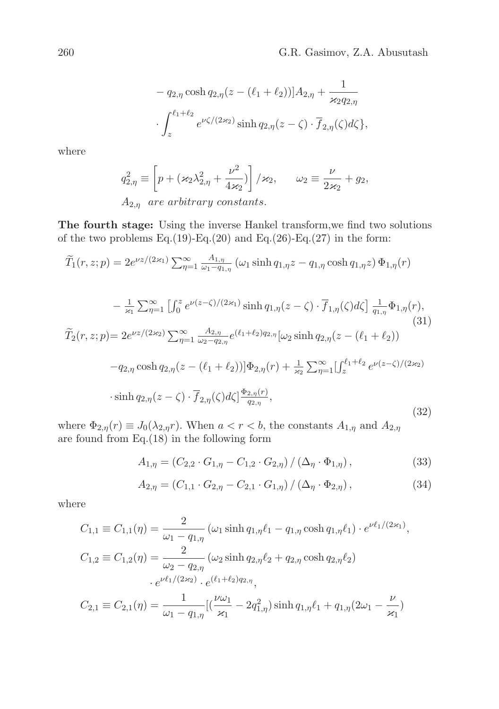$$
- q_{2,\eta} \cosh q_{2,\eta}(z - (\ell_1 + \ell_2)) d_{2,\eta} + \frac{1}{\varkappa_2 q_{2,\eta}} \cdot \int_{z}^{\ell_1 + \ell_2} e^{\nu \zeta/(2\varkappa_2)} \sinh q_{2,\eta}(z - \zeta) \cdot \overline{f}_{2,\eta}(\zeta) d\zeta,
$$

where

$$
q_{2,\eta}^2 \equiv \left[ p + (\varkappa_2 \lambda_{2,\eta}^2 + \frac{\nu^2}{4\varkappa_2}) \right] / \varkappa_2, \qquad \omega_2 \equiv \frac{\nu}{2\varkappa_2} + g_2,
$$
  
 
$$
A_{2,\eta} \text{ are arbitrary constants.}
$$

The fourth stage: Using the inverse Hankel transform,we find two solutions of the two problems Eq.(19)-Eq.(20) and Eq.(26)-Eq.(27) in the form:

$$
\widetilde{T}_1(r,z;p) = 2e^{\nu z/(2\varkappa_1)} \sum_{\eta=1}^{\infty} \frac{A_{1,\eta}}{\omega_1 - q_{1,\eta}} (\omega_1 \sinh q_{1,\eta} z - q_{1,\eta} \cosh q_{1,\eta} z) \Phi_{1,\eta}(r)
$$

$$
-\frac{1}{\varkappa_1} \sum_{\eta=1}^{\infty} \left[ \int_0^z e^{\nu(z-\zeta)/(2\varkappa_1)} \sinh q_{1,\eta}(z-\zeta) \cdot \overline{f}_{1,\eta}(\zeta) d\zeta \right] \frac{1}{q_{1,\eta}} \Phi_{1,\eta}(r),
$$
\n(31)  
\n
$$
\widetilde{T}_2(r,z;p) = 2e^{\nu z/(2\varkappa_2)} \sum_{\eta=1}^{\infty} \frac{A_{2,\eta}}{\omega_2 - q_{2,\eta}} e^{(\ell_1+\ell_2)q_{2,\eta}} [\omega_2 \sinh q_{2,\eta}(z-(\ell_1+\ell_2))
$$
\n
$$
-q_{2,\eta} \cosh q_{2,\eta}(z-(\ell_1+\ell_2))] \Phi_{2,\eta}(r) + \frac{1}{\varkappa_2} \sum_{\eta=1}^{\infty} \left[ \int_z^{\ell_1+\ell_2} e^{\nu(z-\zeta)/(2\varkappa_2)} \cdot \sinh q_{2,\eta}(z-\zeta) \cdot \overline{f}_{2,\eta}(\zeta) d\zeta \right] \frac{\Phi_{2,\eta}(r)}{q_{2,\eta}},
$$
\n(32)

where  $\Phi_{2,\eta}(r) \equiv J_0(\lambda_{2,\eta}r)$ . When  $a < r < b$ , the constants  $A_{1,\eta}$  and  $A_{2,\eta}$ are found from Eq.(18) in the following form

$$
A_{1,\eta} = (C_{2,2} \cdot G_{1,\eta} - C_{1,2} \cdot G_{2,\eta}) / (\Delta_{\eta} \cdot \Phi_{1,\eta}), \qquad (33)
$$

$$
A_{2,\eta} = (C_{1,1} \cdot G_{2,\eta} - C_{2,1} \cdot G_{1,\eta}) / (\Delta_{\eta} \cdot \Phi_{2,\eta}), \qquad (34)
$$

where

$$
C_{1,1} \equiv C_{1,1}(\eta) = \frac{2}{\omega_1 - q_{1,\eta}} \left( \omega_1 \sinh q_{1,\eta} \ell_1 - q_{1,\eta} \cosh q_{1,\eta} \ell_1 \right) \cdot e^{\nu \ell_1/(2 \varkappa_1)},
$$
  
\n
$$
C_{1,2} \equiv C_{1,2}(\eta) = \frac{2}{\omega_2 - q_{2,\eta}} \left( \omega_2 \sinh q_{2,\eta} \ell_2 + q_{2,\eta} \cosh q_{2,\eta} \ell_2 \right)
$$
  
\n
$$
\cdot e^{\nu \ell_1/(2 \varkappa_2)} \cdot e^{(\ell_1 + \ell_2) q_{2,\eta}},
$$
  
\n
$$
C_{2,1} \equiv C_{2,1}(\eta) = \frac{1}{\omega_1 - q_{1,\eta}} \left[ \left( \frac{\nu \omega_1}{\varkappa_1} - 2q_{1,\eta}^2 \right) \sinh q_{1,\eta} \ell_1 + q_{1,\eta} (2\omega_1 - \frac{\nu}{\varkappa_1}) \right]
$$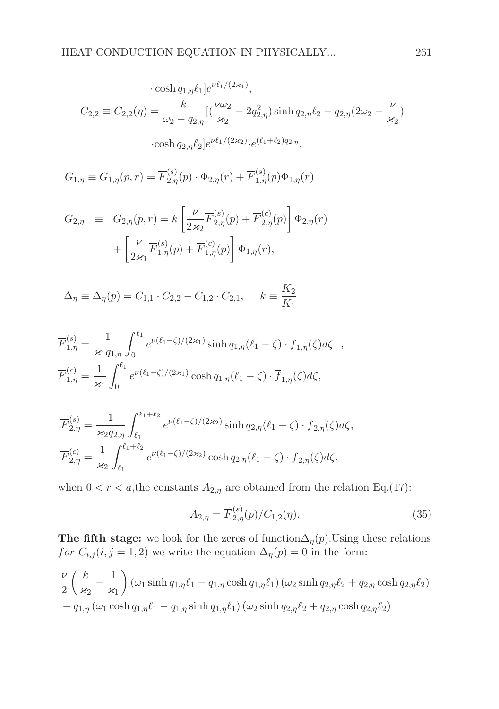$$
\cosh q_{1,\eta} \ell_1] e^{\nu \ell_1/(2 \times 1)},
$$
  

$$
C_{2,2} \equiv C_{2,2}(\eta) = \frac{k}{\omega_2 - q_{2,\eta}} [(\frac{\nu \omega_2}{\varkappa_2} - 2q_{2,\eta}^2) \sinh q_{2,\eta} \ell_2 - q_{2,\eta} (2\omega_2 - \frac{\nu}{\varkappa_2})
$$
  

$$
\cosh q_{2,\eta} \ell_2] e^{\nu \ell_1/(2 \times 2)} \cdot e^{(\ell_1 + \ell_2) q_{2,\eta}},
$$

$$
G_{1,\eta} \equiv G_{1,\eta}(p,r) = \overline{F}_{2,\eta}^{(s)}(p) \cdot \Phi_{2,\eta}(r) + \overline{F}_{1,\eta}^{(s)}(p) \Phi_{1,\eta}(r)
$$

$$
G_{2,\eta} \equiv G_{2,\eta}(p,r) = k \left[ \frac{\nu}{2\kappa_2} \overline{F}_{2,\eta}^{(s)}(p) + \overline{F}_{2,\eta}^{(c)}(p) \right] \Phi_{2,\eta}(r)
$$

$$
+ \left[ \frac{\nu}{2\kappa_1} \overline{F}_{1,\eta}^{(s)}(p) + \overline{F}_{1,\eta}^{(c)}(p) \right] \Phi_{1,\eta}(r),
$$

$$
\Delta_{\eta} \equiv \Delta_{\eta}(p) = C_{1,1} \cdot C_{2,2} - C_{1,2} \cdot C_{2,1}, \quad k \equiv \frac{K_2}{K_1}
$$

$$
\overline{F}_{1,\eta}^{(s)} = \frac{1}{\varkappa_1 q_{1,\eta}} \int_0^{\ell_1} e^{\nu(\ell_1 - \zeta)/(2\varkappa_1)} \sinh q_{1,\eta}(\ell_1 - \zeta) \cdot \overline{f}_{1,\eta}(\zeta) d\zeta ,
$$
  

$$
\overline{F}_{1,\eta}^{(c)} = \frac{1}{\varkappa_1} \int_0^{\ell_1} e^{\nu(\ell_1 - \zeta)/(2\varkappa_1)} \cosh q_{1,\eta}(\ell_1 - \zeta) \cdot \overline{f}_{1,\eta}(\zeta) d\zeta,
$$

$$
\overline{F}_{2,\eta}^{(s)} = \frac{1}{\varkappa_2 q_{2,\eta}} \int_{\ell_1}^{\ell_1+\ell_2} e^{\nu(\ell_1-\zeta)/(2\varkappa_2)} \sinh q_{2,\eta}(\ell_1-\zeta) \cdot \overline{f}_{2,\eta}(\zeta) d\zeta,
$$
  

$$
\overline{F}_{2,\eta}^{(c)} = \frac{1}{\varkappa_2} \int_{\ell_1}^{\ell_1+\ell_2} e^{\nu(\ell_1-\zeta)/(2\varkappa_2)} \cosh q_{2,\eta}(\ell_1-\zeta) \cdot \overline{f}_{2,\eta}(\zeta) d\zeta.
$$

when  $0 < r < a$ , the constants  $A_{2,\eta}$  are obtained from the relation Eq.(17):

$$
A_{2,\eta} = \overline{F}_{2,\eta}^{(s)}(p)/C_{1,2}(\eta). \tag{35}
$$

The fifth stage: we look for the zeros of function $\Delta_{\eta}(p)$ . Using these relations for  $C_{i,j}$  (i, j = 1, 2) we write the equation  $\Delta_{\eta}(p) = 0$  in the form:

$$
\frac{\nu}{2} \left( \frac{k}{\varkappa_2} - \frac{1}{\varkappa_1} \right) (\omega_1 \sinh q_{1,\eta} \ell_1 - q_{1,\eta} \cosh q_{1,\eta} \ell_1) (\omega_2 \sinh q_{2,\eta} \ell_2 + q_{2,\eta} \cosh q_{2,\eta} \ell_2) \n- q_{1,\eta} (\omega_1 \cosh q_{1,\eta} \ell_1 - q_{1,\eta} \sinh q_{1,\eta} \ell_1) (\omega_2 \sinh q_{2,\eta} \ell_2 + q_{2,\eta} \cosh q_{2,\eta} \ell_2)
$$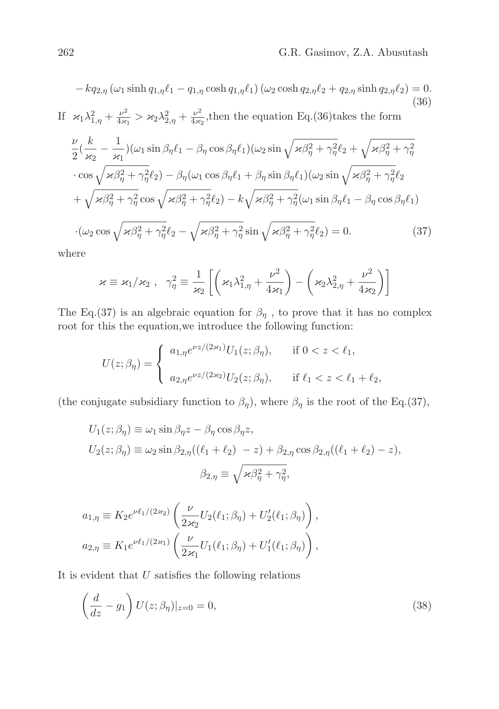$$
-kq_{2,\eta} (\omega_1 \sinh q_{1,\eta} \ell_1 - q_{1,\eta} \cosh q_{1,\eta} \ell_1) (\omega_2 \cosh q_{2,\eta} \ell_2 + q_{2,\eta} \sinh q_{2,\eta} \ell_2) = 0.
$$
\n(36)  
\nIf  $\varkappa_1 \lambda_{1,\eta}^2 + \frac{\nu^2}{4\varkappa_1} > \varkappa_2 \lambda_{2,\eta}^2 + \frac{\nu^2}{4\varkappa_2}$ , then the equation Eq. (36) takes the form\n
$$
\frac{\nu}{2} (\frac{k}{\varkappa_2} - \frac{1}{\varkappa_1}) (\omega_1 \sin \beta_\eta \ell_1 - \beta_\eta \cos \beta_\eta \ell_1) (\omega_2 \sin \sqrt{\varkappa \beta_\eta^2 + \gamma_\eta^2} \ell_2 + \sqrt{\varkappa \beta_\eta^2 + \gamma_\eta^2}
$$
\n
$$
\cdot \cos \sqrt{\varkappa \beta_\eta^2 + \gamma_\eta^2} \ell_2) - \beta_\eta (\omega_1 \cos \beta_\eta \ell_1 + \beta_\eta \sin \beta_\eta \ell_1) (\omega_2 \sin \sqrt{\varkappa \beta_\eta^2 + \gamma_\eta^2} \ell_2 + \sqrt{\varkappa \beta_\eta^2 + \gamma_\eta^2} \ell_2 + \sqrt{\varkappa \beta_\eta^2 + \gamma_\eta^2} \cos \sqrt{\varkappa \beta_\eta^2 + \gamma_\eta^2} \ell_2) - k \sqrt{\varkappa \beta_\eta^2 + \gamma_\eta^2} (\omega_1 \sin \beta_\eta \ell_1 - \beta_\eta \cos \beta_\eta \ell_1)
$$
\n
$$
\cdot (\omega_2 \cos \sqrt{\varkappa \beta_\eta^2 + \gamma_\eta^2} \ell_2 - \sqrt{\varkappa \beta_\eta^2 + \gamma_\eta^2} \sin \sqrt{\varkappa \beta_\eta^2 + \gamma_\eta^2} \ell_2) = 0.
$$
\n(37)

where

$$
\varkappa \equiv \varkappa_1/\varkappa_2 \; , \; \; \gamma_\eta^2 \equiv \frac{1}{\varkappa_2} \left[ \left( \varkappa_1 \lambda_{1,\eta}^2 + \frac{\nu^2}{4\varkappa_1} \right) - \left( \varkappa_2 \lambda_{2,\eta}^2 + \frac{\nu^2}{4\varkappa_2} \right) \right]
$$

The Eq.(37) is an algebraic equation for  $\beta_{\eta}$ , to prove that it has no complex root for this the equation,we introduce the following function:

$$
U(z; \beta_{\eta}) = \begin{cases} a_{1,\eta} e^{\nu z/(2\varkappa_1)} U_1(z; \beta_{\eta}), & \text{if } 0 < z < \ell_1, \\ a_{2,\eta} e^{\nu z/(2\varkappa_2)} U_2(z; \beta_{\eta}), & \text{if } \ell_1 < z < \ell_1 + \ell_2, \end{cases}
$$

(the conjugate subsidiary function to  $\beta_{\eta}$ ), where  $\beta_{\eta}$  is the root of the Eq.(37),

$$
U_1(z; \beta_\eta) \equiv \omega_1 \sin \beta_\eta z - \beta_\eta \cos \beta_\eta z,
$$
  
\n
$$
U_2(z; \beta_\eta) \equiv \omega_2 \sin \beta_{2,\eta} ((\ell_1 + \ell_2) - z) + \beta_{2,\eta} \cos \beta_{2,\eta} ((\ell_1 + \ell_2) - z),
$$
  
\n
$$
\beta_{2,\eta} \equiv \sqrt{\varkappa \beta_\eta^2 + \gamma_\eta^2},
$$

$$
a_{1,\eta} \equiv K_2 e^{\nu \ell_1/(2\varkappa_2)} \left( \frac{\nu}{2\varkappa_2} U_2(\ell_1; \beta_\eta) + U_2'(\ell_1; \beta_\eta) \right),
$$
  

$$
a_{2,\eta} \equiv K_1 e^{\nu \ell_1/(2\varkappa_1)} \left( \frac{\nu}{2\varkappa_1} U_1(\ell_1; \beta_\eta) + U_1'(\ell_1; \beta_\eta) \right),
$$

It is evident that  $U$  satisfies the following relations

$$
\left(\frac{d}{dz} - g_1\right) U(z; \beta_\eta)|_{z=0} = 0,
$$
\n(38)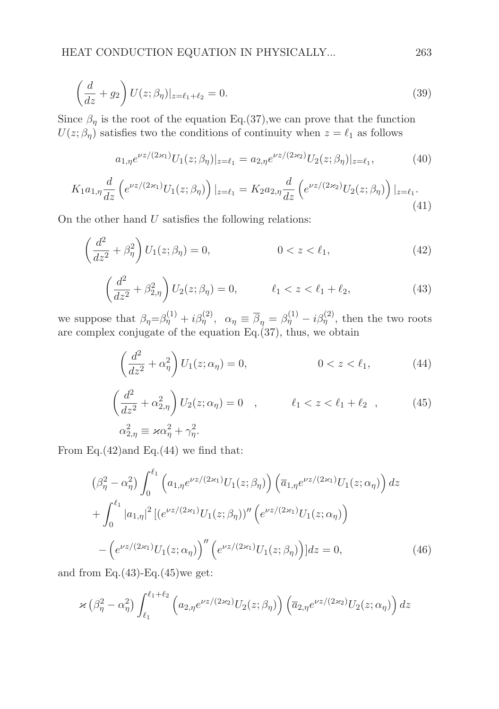$$
\left(\frac{d}{dz} + g_2\right) U(z; \beta_\eta)|_{z=\ell_1+\ell_2} = 0.
$$
\n(39)

Since  $\beta_{\eta}$  is the root of the equation Eq.(37), we can prove that the function  $U(z; \beta_{\eta})$  satisfies two the conditions of continuity when  $z = \ell_1$  as follows

$$
a_{1,\eta}e^{\nu z/(2\varkappa_1)}U_1(z;\beta_\eta)|_{z=\ell_1} = a_{2,\eta}e^{\nu z/(2\varkappa_2)}U_2(z;\beta_\eta)|_{z=\ell_1},\tag{40}
$$

$$
K_1 a_{1,\eta} \frac{d}{dz} \left( e^{\nu z/(2\varkappa_1)} U_1(z;\beta_{\eta}) \right) |_{z=\ell_1} = K_2 a_{2,\eta} \frac{d}{dz} \left( e^{\nu z/(2\varkappa_2)} U_2(z;\beta_{\eta}) \right) |_{z=\ell_1}.
$$
\n(41)

On the other hand  $U$  satisfies the following relations:

$$
\left(\frac{d^2}{dz^2} + \beta_\eta^2\right) U_1(z; \beta_\eta) = 0, \qquad 0 < z < \ell_1,\tag{42}
$$

$$
\left(\frac{d^2}{dz^2} + \beta_{2,\eta}^2\right) U_2(z;\beta_{\eta}) = 0, \qquad \ell_1 < z < \ell_1 + \ell_2,
$$
\n(43)

we suppose that  $\beta_{\eta} = \beta_{\eta}^{(1)} + i \beta_{\eta}^{(2)}$ ,  $\alpha_{\eta} \equiv \overline{\beta}_{\eta} = \beta_{\eta}^{(1)} - i \beta_{\eta}^{(2)}$ , then the two roots are complex conjugate of the equation Eq. $(37)$ , thus, we obtain

$$
\left(\frac{d^2}{dz^2} + \alpha_\eta^2\right) U_1(z; \alpha_\eta) = 0, \qquad 0 < z < \ell_1,\tag{44}
$$

$$
\left(\frac{d^2}{dz^2} + \alpha_{2,\eta}^2\right) U_2(z; \alpha_{\eta}) = 0 \quad , \qquad \ell_1 < z < \ell_1 + \ell_2 \quad , \tag{45}
$$
  

$$
\alpha_{2,\eta}^2 \equiv \varkappa \alpha_{\eta}^2 + \gamma_{\eta}^2.
$$

From Eq.(42)and Eq.(44) we find that:

$$
\left(\beta_{\eta}^{2} - \alpha_{\eta}^{2}\right) \int_{0}^{\ell_{1}} \left(a_{1,\eta} e^{\nu z/(2\varkappa_{1})} U_{1}(z;\beta_{\eta})\right) \left(\overline{a}_{1,\eta} e^{\nu z/(2\varkappa_{1})} U_{1}(z;\alpha_{\eta})\right) dz + \int_{0}^{\ell_{1}} |a_{1,\eta}|^{2} \left[ \left(e^{\nu z/(2\varkappa_{1})} U_{1}(z;\beta_{\eta})\right)^{\prime\prime} \left(e^{\nu z/(2\varkappa_{1})} U_{1}(z;\alpha_{\eta})\right) \right] - \left(e^{\nu z/(2\varkappa_{1})} U_{1}(z;\alpha_{\eta})\right)^{\prime\prime} \left(e^{\nu z/(2\varkappa_{1})} U_{1}(z;\beta_{\eta})\right) dz = 0,
$$
\n(46)

and from Eq. $(43)$ -Eq. $(45)$ we get:

$$
\varkappa\left(\beta_{\eta}^2-\alpha_{\eta}^2\right)\int_{\ell_1}^{\ell_1+\ell_2}\left(a_{2,\eta}e^{\nu z/(2\varkappa_2)}U_2(z;\beta_{\eta})\right)\left(\overline{a}_{2,\eta}e^{\nu z/(2\varkappa_2)}U_2(z;\alpha_{\eta})\right)dz
$$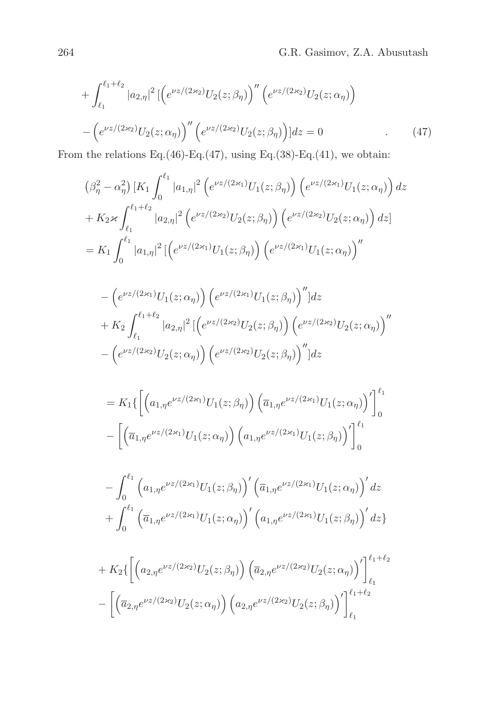$$
+ \int_{\ell_1}^{\ell_1 + \ell_2} |a_{2,\eta}|^2 \left[ \left( e^{\nu z/(2\kappa_2)} U_2(z;\beta_\eta) \right)'' \left( e^{\nu z/(2\kappa_2)} U_2(z;\alpha_\eta) \right) \right. \\ - \left( e^{\nu z/(2\kappa_2)} U_2(z;\alpha_\eta) \right)'' \left( e^{\nu z/(2\kappa_2)} U_2(z;\beta_\eta) \right) | dz = 0 \tag{47}
$$

From the relations Eq.(46)-Eq.(47), using Eq.(38)-Eq.(41), we obtain:

$$
\begin{split} &\left(\beta_{\eta}^{2}-\alpha_{\eta}^{2}\right)[K_{1}\int_{0}^{\ell_{1}}|a_{1,\eta}|^{2}\left(e^{\nu z/(2\varkappa_{1})}U_{1}(z;\beta_{\eta})\right)\left(e^{\nu z/(2\varkappa_{1})}U_{1}(z;\alpha_{\eta})\right)dz\\ &+K_{2}\varkappa\int_{\ell_{1}}^{\ell_{1}+\ell_{2}}|a_{2,\eta}|^{2}\left(e^{\nu z/(2\varkappa_{2})}U_{2}(z;\beta_{\eta})\right)\left(e^{\nu z/(2\varkappa_{2})}U_{2}(z;\alpha_{\eta})\right)dz\\ &=K_{1}\int_{0}^{\ell_{1}}|a_{1,\eta}|^{2}\left[\left(e^{\nu z/(2\varkappa_{1})}U_{1}(z;\beta_{\eta})\right)\left(e^{\nu z/(2\varkappa_{1})}U_{1}(z;\alpha_{\eta})\right)^{\prime\prime}\right] \end{split}
$$

$$
-\left(e^{\nu z/(2\varkappa_1)}U_1(z;\alpha_\eta)\right)\left(e^{\nu z/(2\varkappa_1)}U_1(z;\beta_\eta)\right)''|dz
$$
  
+  $K_2\int_{\ell_1}^{\ell_1+\ell_2}|a_{2,\eta}|^2\left[\left(e^{\nu z/(2\varkappa_2)}U_2(z;\beta_\eta)\right)\left(e^{\nu z/(2\varkappa_2)}U_2(z;\alpha_\eta)\right)''\right]$   
-  $\left(e^{\nu z/(2\varkappa_2)}U_2(z;\alpha_\eta)\right)\left(e^{\nu z/(2\varkappa_2)}U_2(z;\beta_\eta)\right)''|dz$ 

$$
= K_1 \{ \left[ \left( a_{1,\eta} e^{\nu z/(2\varkappa_1)} U_1(z;\beta_\eta) \right) \left( \overline{a}_{1,\eta} e^{\nu z/(2\varkappa_1)} U_1(z;\alpha_\eta) \right)' \right]_0^{\ell_1} - \left[ \left( \overline{a}_{1,\eta} e^{\nu z/(2\varkappa_1)} U_1(z;\alpha_\eta) \right) \left( a_{1,\eta} e^{\nu z/(2\varkappa_1)} U_1(z;\beta_\eta) \right)' \right]_0^{\ell_1}
$$

$$
- \int_0^{\ell_1} \left( a_{1,\eta} e^{\nu z/(2\varkappa_1)} U_1(z;\beta_\eta) \right)' \left( \overline{a}_{1,\eta} e^{\nu z/(2\varkappa_1)} U_1(z;\alpha_\eta) \right)' dz + \int_0^{\ell_1} \left( \overline{a}_{1,\eta} e^{\nu z/(2\varkappa_1)} U_1(z;\alpha_\eta) \right)' \left( a_{1,\eta} e^{\nu z/(2\varkappa_1)} U_1(z;\beta_\eta) \right)' dz \}
$$

$$
+ K_2 \{ \left[ \left( a_{2,\eta} e^{\nu z/(2\varkappa_2)} U_2(z;\beta_\eta) \right) \left( \overline{a}_{2,\eta} e^{\nu z/(2\varkappa_2)} U_2(z;\alpha_\eta) \right)' \right]_{\ell_1}^{\ell_1 + \ell_2}
$$

$$
- \left[ \left( \overline{a}_{2,\eta} e^{\nu z/(2\varkappa_2)} U_2(z;\alpha_\eta) \right) \left( a_{2,\eta} e^{\nu z/(2\varkappa_2)} U_2(z;\beta_\eta) \right)' \right]_{\ell_1}^{\ell_1 + \ell_2}
$$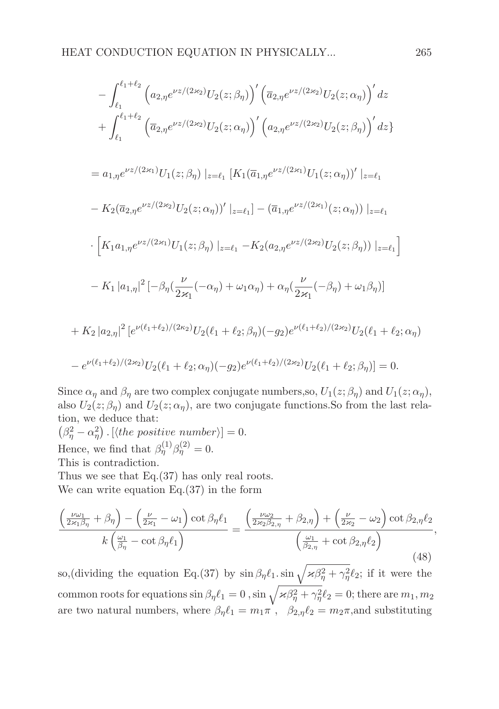$$
-\int_{\ell_{1}}^{\ell_{1}+\ell_{2}} \left( a_{2,\eta} e^{\nu z/(2\kappa_{2})} U_{2}(z;\beta_{\eta}) \right)' \left( \overline{a}_{2,\eta} e^{\nu z/(2\kappa_{2})} U_{2}(z;\alpha_{\eta}) \right)' dz + \int_{\ell_{1}}^{\ell_{1}+\ell_{2}} \left( \overline{a}_{2,\eta} e^{\nu z/(2\kappa_{2})} U_{2}(z;\alpha_{\eta}) \right)' \left( a_{2,\eta} e^{\nu z/(2\kappa_{2})} U_{2}(z;\beta_{\eta}) \right)' dz = a_{1,\eta} e^{\nu z/(2\kappa_{1})} U_{1}(z;\beta_{\eta}) \left|_{z=\ell_{1}} \left[ K_{1}(\overline{a}_{1,\eta} e^{\nu z/(2\kappa_{1})} U_{1}(z;\alpha_{\eta}))' \right|_{z=\ell_{1}} \right. - K_{2}(\overline{a}_{2,\eta} e^{\nu z/(2\kappa_{2})} U_{2}(z;\alpha_{\eta}))' \left|_{z=\ell_{1}} \right] - (\overline{a}_{1,\eta} e^{\nu z/(2\kappa_{1})}(z;\alpha_{\eta})) \left|_{z=\ell_{1}} \right. \cdot \left[ K_{1} a_{1,\eta} e^{\nu z/(2\kappa_{1})} U_{1}(z;\beta_{\eta}) \right|_{z=\ell_{1}} - K_{2} (a_{2,\eta} e^{\nu z/(2\kappa_{2})} U_{2}(z;\beta_{\eta})) \left|_{z=\ell_{1}} \right] - K_{1} |a_{1,\eta}|^{2} \left[ -\beta_{\eta} (\frac{\nu}{2\kappa_{1}}(-\alpha_{\eta}) + \omega_{1}\alpha_{\eta}) + \alpha_{\eta} (\frac{\nu}{2\kappa_{1}}(-\beta_{\eta}) + \omega_{1}\beta_{\eta}) \right] + K_{2} |a_{2,\eta}|^{2} \left[ e^{\nu(\ell_{1}+\ell_{2})/(2\kappa_{2})} U_{2}(\ell_{1}+\ell_{2};\beta_{\eta}) (-g_{2}) e^{\nu(\ell_{1}+\ell_{2})/(2\kappa_{2})} U_{2}(\ell_{1}+\ell_{2};\alpha_{\eta}) \right. - e^{\nu(\ell_{1}+\ell_{2})/(2\kappa_{2})} U_{2}(\ell_{1}+\ell_{2};\alpha_{\eta})
$$

Since  $\alpha_{\eta}$  and  $\beta_{\eta}$  are two complex conjugate numbers, so,  $U_1(z; \beta_{\eta})$  and  $U_1(z; \alpha_{\eta})$ , also  $U_2(z;\beta_\eta)$  and  $U_2(z;\alpha_\eta)$ , are two conjugate functions. So from the last relation, we deduce that:

 $(\beta_{\eta}^2 - \alpha_{\eta}^2)$ . [(the positive number)] = 0. Hence, we find that  $\beta_{\eta}^{(1)}\beta_{\eta}^{(2)}=0$ .

This is contradiction.

Thus we see that Eq.(37) has only real roots.

We can write equation Eq.(37) in the form

$$
\frac{\left(\frac{\nu\omega_{1}}{2\varkappa_{1}\beta_{\eta}}+\beta_{\eta}\right)-\left(\frac{\nu}{2\varkappa_{1}}-\omega_{1}\right)\cot\beta_{\eta}\ell_{1}}{k\left(\frac{\omega_{1}}{\beta_{\eta}}-\cot\beta_{\eta}\ell_{1}\right)}=\frac{\left(\frac{\nu\omega_{2}}{2\varkappa_{2}\beta_{2,\eta}}+\beta_{2,\eta}\right)+\left(\frac{\nu}{2\varkappa_{2}}-\omega_{2}\right)\cot\beta_{2,\eta}\ell_{2}}{\left(\frac{\omega_{1}}{\beta_{2,\eta}}+\cot\beta_{2,\eta}\ell_{2}\right)},\tag{48}
$$

so,(dividing the equation Eq.(37) by  $\sin \beta_{\eta} \ell_1 \cdot \sin \sqrt{\varkappa \beta_{\eta}^2 + \gamma_{\eta}^2} \ell_2$ ; if it were the common roots for equations  $\sin \beta_\eta \ell_1 = 0$  ,  $\sin \sqrt{\varkappa \beta_\eta^2 + \gamma_\eta^2} \ell_2 = 0$ ; there are  $m_1, m_2$ are two natural numbers, where  $\beta_{\eta} \ell_1 = m_1 \pi^{\mathbf{R}}$ ,  $\beta_{2,\eta} \ell_2 = m_2 \pi$ , and substituting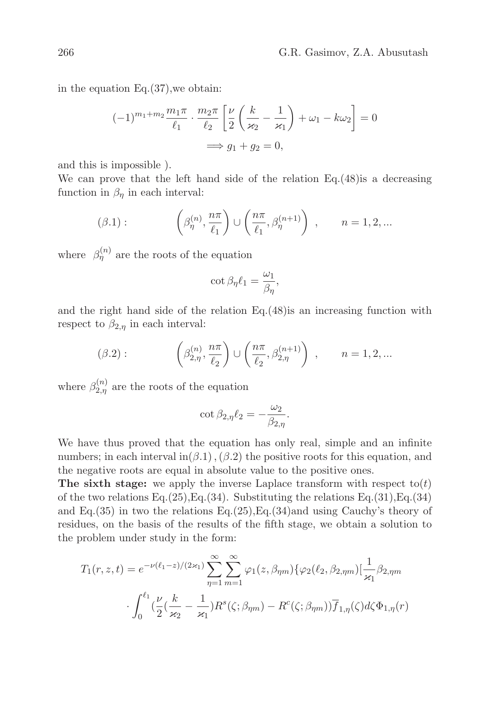in the equation Eq.(37),we obtain:

$$
(-1)^{m_1+m_2}\frac{m_1\pi}{\ell_1}\cdot\frac{m_2\pi}{\ell_2}\left[\frac{\nu}{2}\left(\frac{k}{\varkappa_2}-\frac{1}{\varkappa_1}\right)+\omega_1-k\omega_2\right]=0
$$

$$
\implies g_1+g_2=0,
$$

and this is impossible ).

We can prove that the left hand side of the relation Eq.(48)is a decreasing function in  $\beta_n$  in each interval:

$$
(\beta.1): \qquad \left(\beta_{\eta}^{(n)}, \frac{n\pi}{\ell_1}\right) \cup \left(\frac{n\pi}{\ell_1}, \beta_{\eta}^{(n+1)}\right) , \qquad n = 1, 2, \dots
$$

where  $\beta_{\eta}^{(n)}$  are the roots of the equation

$$
\cot \beta_{\eta} \ell_1 = \frac{\omega_1}{\beta_{\eta}},
$$

and the right hand side of the relation Eq.(48)is an increasing function with respect to  $\beta_{2,n}$  in each interval:

$$
(\beta.2): \qquad \left(\beta_{2,\eta}^{(n)}, \frac{n\pi}{\ell_2}\right) \cup \left(\frac{n\pi}{\ell_2}, \beta_{2,\eta}^{(n+1)}\right) , \qquad n = 1, 2, ...
$$

where  $\beta_{2,\eta}^{(n)}$  are the roots of the equation

$$
\cot \beta_{2,\eta}\ell_2=-\frac{\omega_2}{\beta_{2,\eta}}.
$$

We have thus proved that the equation has only real, simple and an infinite numbers; in each interval in( $\beta$ .1), ( $\beta$ .2) the positive roots for this equation, and the negative roots are equal in absolute value to the positive ones.

The sixth stage: we apply the inverse Laplace transform with respect  $\text{to}(t)$ of the two relations Eq.(25), Eq.(34). Substituting the relations Eq.(31), Eq.(34) and Eq.(35) in two the relations Eq.(25), Eq.(34)and using Cauchy's theory of residues, on the basis of the results of the fifth stage, we obtain a solution to the problem under study in the form:

$$
T_1(r, z, t) = e^{-\nu(\ell_1 - z)/(2\varkappa_1)} \sum_{\eta=1}^{\infty} \sum_{m=1}^{\infty} \varphi_1(z, \beta_{\eta m}) \{ \varphi_2(\ell_2, \beta_{2, \eta m}) \left[ \frac{1}{\varkappa_1} \beta_{2, \eta m} \right. \\ \cdot \int_0^{\ell_1} \left( \frac{\nu}{2} \left( \frac{k}{\varkappa_2} - \frac{1}{\varkappa_1} \right) R^s(\zeta; \beta_{\eta m}) - R^c(\zeta; \beta_{\eta m}) \right) \overline{f}_{1, \eta}(\zeta) d\zeta \Phi_{1, \eta}(r)
$$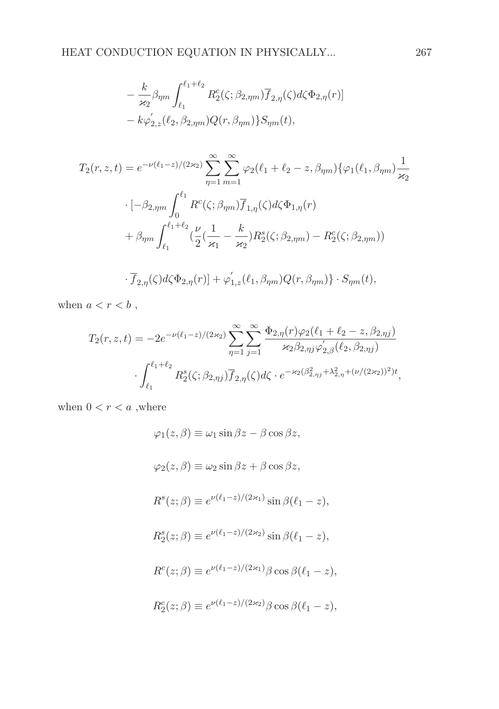$$
-\frac{k}{\varkappa_2}\beta_{\eta m}\int_{\ell_1}^{\ell_1+\ell_2} R_2^c(\zeta;\beta_{2,\eta m})\overline{f}_{2,\eta}(\zeta)d\zeta\Phi_{2,\eta}(r)]
$$
  

$$
-\kappa\varphi'_{2,z}(\ell_2,\beta_{2,\eta m})Q(r,\beta_{\eta m})\}S_{\eta m}(t),
$$

$$
T_2(r, z, t) = e^{-\nu(\ell_1 - z)/(2\kappa_2)} \sum_{\eta=1}^{\infty} \sum_{m=1}^{\infty} \varphi_2(\ell_1 + \ell_2 - z, \beta_{\eta m}) \{\varphi_1(\ell_1, \beta_{\eta m})\frac{1}{\kappa_2} \n\cdot [-\beta_{2,\eta m} \int_0^{\ell_1} R^c(\zeta; \beta_{\eta m}) \overline{f}_{1,\eta}(\zeta) d\zeta \Phi_{1,\eta}(r) \n+ \beta_{\eta m} \int_{\ell_1}^{\ell_1 + \ell_2} (\frac{\nu}{2} (\frac{1}{\kappa_1} - \frac{k}{\kappa_2}) R_2^s(\zeta; \beta_{2,\eta m}) - R_2^c(\zeta; \beta_{2,\eta m}))
$$

$$
\cdot \overline{f}_{2,\eta}(\zeta) d\zeta \Phi_{2,\eta}(r)] + \varphi_{1,z}'(\ell_1, \beta_{\eta m}) Q(r, \beta_{\eta m}) \} \cdot S_{\eta m}(t),
$$

when  $a < r < b$ ,

$$
T_2(r, z, t) = -2e^{-\nu(\ell_1 - z)/(2\kappa_2)} \sum_{\eta=1}^{\infty} \sum_{j=1}^{\infty} \frac{\Phi_{2,\eta}(r)\varphi_2(\ell_1 + \ell_2 - z, \beta_{2,\eta j})}{\kappa_2 \beta_{2,\eta j} \varphi'_{2,\beta}(\ell_2, \beta_{2,\eta j})} \cdot \int_{\ell_1}^{\ell_1 + \ell_2} R_2^s(\zeta; \beta_{2,\eta j}) \overline{f}_{2,\eta}(\zeta) d\zeta \cdot e^{-\kappa_2(\beta_{2,\eta j}^2 + \lambda_{2,\eta}^2 + (\nu/(2\kappa_2))^2)t},
$$

when  $0 < r < a$  ,<br>where

$$
\varphi_1(z,\beta) \equiv \omega_1 \sin \beta z - \beta \cos \beta z,
$$
  
\n
$$
\varphi_2(z,\beta) \equiv \omega_2 \sin \beta z + \beta \cos \beta z,
$$
  
\n
$$
R^s(z;\beta) \equiv e^{\nu(\ell_1 - z)/(2\kappa_1)} \sin \beta(\ell_1 - z),
$$
  
\n
$$
R_2^s(z;\beta) \equiv e^{\nu(\ell_1 - z)/(2\kappa_2)} \sin \beta(\ell_1 - z),
$$
  
\n
$$
R^c(z;\beta) \equiv e^{\nu(\ell_1 - z)/(2\kappa_1)} \beta \cos \beta(\ell_1 - z),
$$
  
\n
$$
R_2^c(z;\beta) \equiv e^{\nu(\ell_1 - z)/(2\kappa_2)} \beta \cos \beta(\ell_1 - z),
$$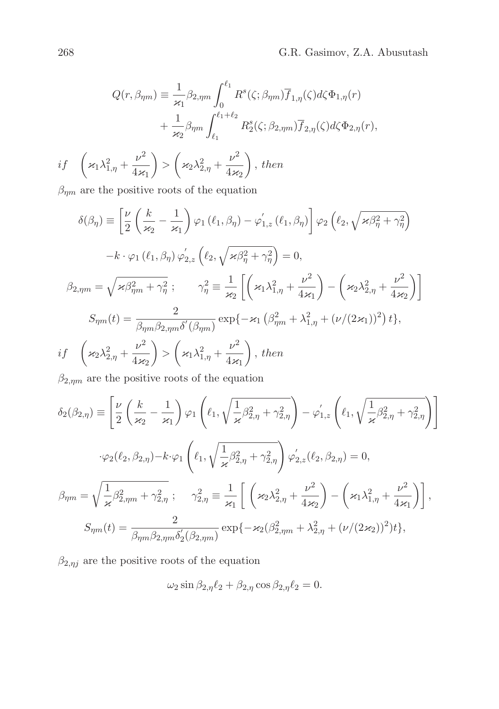$$
Q(r,\beta_{\eta m}) \equiv \frac{1}{\varkappa_1} \beta_{2,\eta m} \int_0^{\ell_1} R^s(\zeta;\beta_{\eta m}) \overline{f}_{1,\eta}(\zeta) d\zeta \Phi_{1,\eta}(r)
$$

$$
+ \frac{1}{\varkappa_2} \beta_{\eta m} \int_{\ell_1}^{\ell_1 + \ell_2} R^s_2(\zeta;\beta_{2,\eta m}) \overline{f}_{2,\eta}(\zeta) d\zeta \Phi_{2,\eta}(r),
$$
  
if  $\left(\varkappa_1 \lambda_{1,\eta}^2 + \frac{\nu^2}{4\varkappa_1}\right) > \left(\varkappa_2 \lambda_{2,\eta}^2 + \frac{\nu^2}{4\varkappa_2}\right)$ , then

 $\beta_{\eta m}$  are the positive roots of the equation

$$
\delta(\beta_{\eta}) \equiv \left[ \frac{\nu}{2} \left( \frac{k}{\varkappa_{2}} - \frac{1}{\varkappa_{1}} \right) \varphi_{1} (\ell_{1}, \beta_{\eta}) - \varphi_{1,z}'(\ell_{1}, \beta_{\eta}) \right] \varphi_{2} \left( \ell_{2}, \sqrt{\varkappa \beta_{\eta}^{2} + \gamma_{\eta}^{2}} \right)
$$

$$
-k \cdot \varphi_{1} (\ell_{1}, \beta_{\eta}) \varphi_{2,z}' \left( \ell_{2}, \sqrt{\varkappa \beta_{\eta}^{2} + \gamma_{\eta}^{2}} \right) = 0,
$$

$$
\beta_{2,\eta m} = \sqrt{\varkappa \beta_{\eta m}^{2} + \gamma_{\eta}^{2}} ; \qquad \gamma_{\eta}^{2} \equiv \frac{1}{\varkappa_{2}} \left[ \left( \varkappa_{1} \lambda_{1,\eta}^{2} + \frac{\nu^{2}}{4 \varkappa_{1}} \right) - \left( \varkappa_{2} \lambda_{2,\eta}^{2} + \frac{\nu^{2}}{4 \varkappa_{2}} \right) \right]
$$

$$
S_{\eta m}(t) = \frac{2}{\beta_{\eta m} \beta_{2,\eta m} \delta'(\beta_{\eta m})} \exp\{-\varkappa_{1} \left( \beta_{\eta m}^{2} + \lambda_{1,\eta}^{2} + (\nu/(2 \varkappa_{1}))^{2} \right) t \},
$$

$$
if \quad \left( \varkappa_{2} \lambda_{2,\eta}^{2} + \frac{\nu^{2}}{4 \varkappa_{2}} \right) > \left( \varkappa_{1} \lambda_{1,\eta}^{2} + \frac{\nu^{2}}{4 \varkappa_{1}} \right), \text{ then}
$$

 $\beta_{2,\eta m}$  are the positive roots of the equation

$$
\delta_2(\beta_{2,\eta}) \equiv \left[ \frac{\nu}{2} \left( \frac{k}{\varkappa_2} - \frac{1}{\varkappa_1} \right) \varphi_1 \left( \ell_1, \sqrt{\frac{1}{\varkappa} \beta_{2,\eta}^2 + \gamma_{2,\eta}^2} \right) - \varphi_{1,z}' \left( \ell_1, \sqrt{\frac{1}{\varkappa} \beta_{2,\eta}^2 + \gamma_{2,\eta}^2} \right) \right]
$$
  

$$
\cdot \varphi_2(\ell_2, \beta_{2,\eta}) - k \cdot \varphi_1 \left( \ell_1, \sqrt{\frac{1}{\varkappa} \beta_{2,\eta}^2 + \gamma_{2,\eta}^2} \right) \varphi_{2,z}'(\ell_2, \beta_{2,\eta}) = 0,
$$
  

$$
\beta_{\eta m} = \sqrt{\frac{1}{\varkappa} \beta_{2,\eta m}^2 + \gamma_{2,\eta}^2}; \qquad \gamma_{2,\eta}^2 \equiv \frac{1}{\varkappa_1} \left[ \left( \varkappa_2 \lambda_{2,\eta}^2 + \frac{\nu^2}{4 \varkappa_2} \right) - \left( \varkappa_1 \lambda_{1,\eta}^2 + \frac{\nu^2}{4 \varkappa_1} \right) \right],
$$
  

$$
S_{\eta m}(t) = \frac{2}{\beta_{\eta m} \beta_{2,\eta m} \delta_2'(\beta_{2,\eta m})} \exp\{-\varkappa_2 (\beta_{2,\eta m}^2 + \lambda_{2,\eta}^2 + (\nu/(2 \varkappa_2))^2)t\},
$$

 $\beta_{2,\eta j}$  are the positive roots of the equation

$$
\omega_2 \sin \beta_{2,\eta} \ell_2 + \beta_{2,\eta} \cos \beta_{2,\eta} \ell_2 = 0.
$$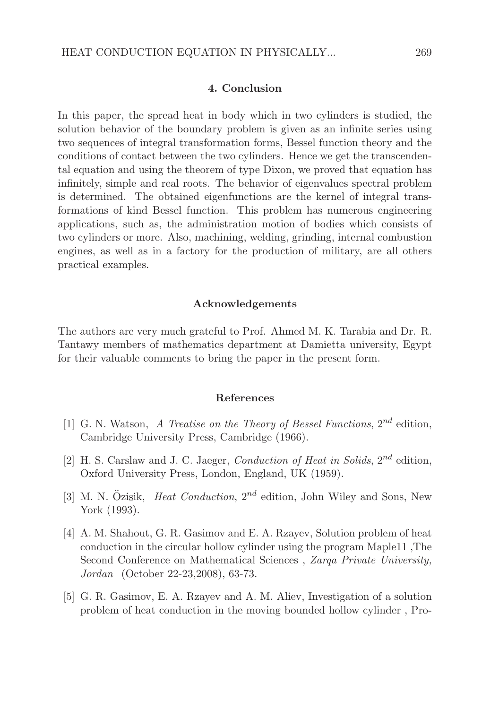### 4. Conclusion

In this paper, the spread heat in body which in two cylinders is studied, the solution behavior of the boundary problem is given as an infinite series using two sequences of integral transformation forms, Bessel function theory and the conditions of contact between the two cylinders. Hence we get the transcendental equation and using the theorem of type Dixon, we proved that equation has infinitely, simple and real roots. The behavior of eigenvalues spectral problem is determined. The obtained eigenfunctions are the kernel of integral transformations of kind Bessel function. This problem has numerous engineering applications, such as, the administration motion of bodies which consists of two cylinders or more. Also, machining, welding, grinding, internal combustion engines, as well as in a factory for the production of military, are all others practical examples.

#### Acknowledgements

The authors are very much grateful to Prof. Ahmed M. K. Tarabia and Dr. R. Tantawy members of mathematics department at Damietta university, Egypt for their valuable comments to bring the paper in the present form.

#### References

- [1] G. N. Watson, A Treatise on the Theory of Bessel Functions,  $2^{nd}$  edition. Cambridge University Press, Cambridge (1966).
- [2] H. S. Carslaw and J. C. Jaeger, *Conduction of Heat in Solids*,  $2^{nd}$  edition, Oxford University Press, London, England, UK (1959).
- [3] M. N. Özisik, *Heat Conduction*,  $2^{nd}$  edition, John Wiley and Sons, New ¯ York (1993).
- [4] A. M. Shahout, G. R. Gasimov and E. A. Rzayev, Solution problem of heat conduction in the circular hollow cylinder using the program Maple11 ,The Second Conference on Mathematical Sciences , Zarqa Private University, Jordan (October 22-23,2008), 63-73.
- [5] G. R. Gasimov, E. A. Rzayev and A. M. Aliev, Investigation of a solution problem of heat conduction in the moving bounded hollow cylinder , Pro-